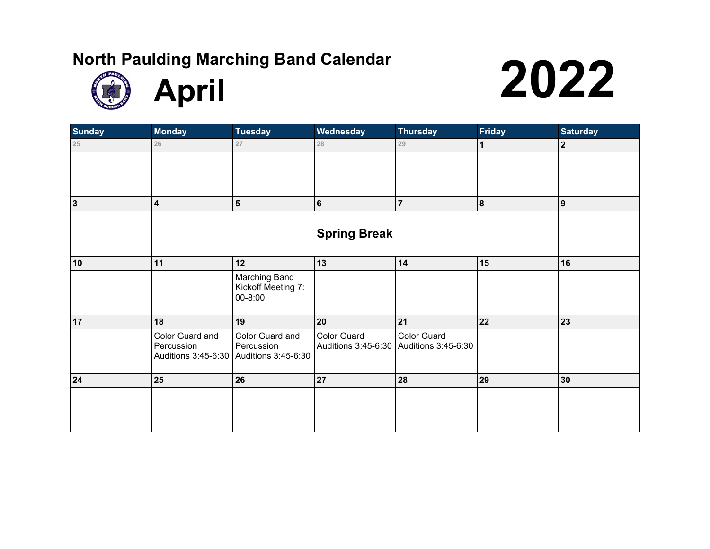

| <b>Sunday</b> | Monday                            | <b>Tuesday</b>                    | Wednesday           | <b>Thursday</b>     | <b>Friday</b>           | <b>Saturday</b> |
|---------------|-----------------------------------|-----------------------------------|---------------------|---------------------|-------------------------|-----------------|
| 25            | 26                                | 27                                | 28                  | 29                  | $\mathbf 1$             | $\overline{2}$  |
|               |                                   |                                   |                     |                     |                         |                 |
|               |                                   |                                   |                     |                     |                         |                 |
|               |                                   |                                   |                     |                     |                         |                 |
| $\mathbf{3}$  | $\overline{\mathbf{4}}$           | $\sqrt{5}$                        | 6                   | $\overline{7}$      | $\overline{\mathbf{8}}$ | 9               |
|               |                                   |                                   |                     |                     |                         |                 |
|               |                                   |                                   | <b>Spring Break</b> |                     |                         |                 |
|               |                                   |                                   |                     |                     |                         |                 |
| 10            | 11                                | 12                                | $13$                | 14                  | 15                      | 16              |
|               |                                   | Marching Band                     |                     |                     |                         |                 |
|               |                                   | Kickoff Meeting 7:<br>00-8:00     |                     |                     |                         |                 |
|               |                                   |                                   |                     |                     |                         |                 |
| 17            | 18                                | 19                                | 20                  | 21                  | 22                      | 23              |
|               | Color Guard and                   | Color Guard and                   | Color Guard         | Color Guard         |                         |                 |
|               | Percussion<br>Auditions 3:45-6:30 | Percussion<br>Auditions 3:45-6:30 | Auditions 3:45-6:30 | Auditions 3:45-6:30 |                         |                 |
|               |                                   |                                   |                     |                     |                         |                 |
| 24            | 25                                | 26                                | 27                  | 28                  | 29                      | 30              |
|               |                                   |                                   |                     |                     |                         |                 |
|               |                                   |                                   |                     |                     |                         |                 |
|               |                                   |                                   |                     |                     |                         |                 |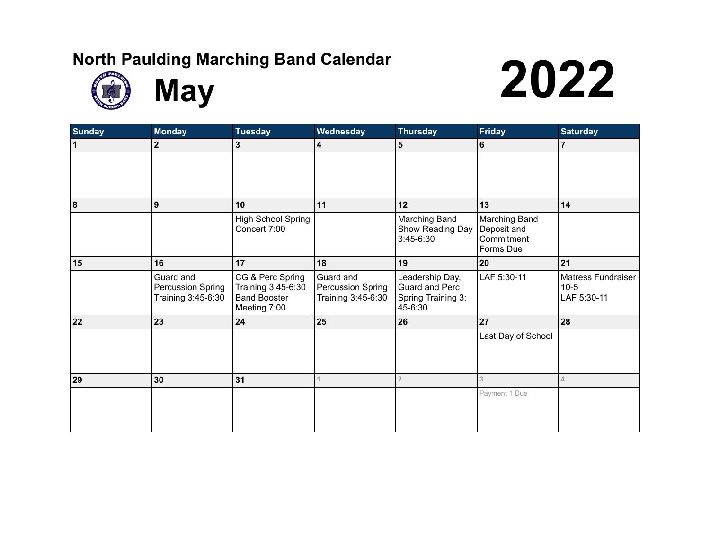



**May** and Calendar **2022** 

| <b>Sunday</b>    | <b>Monday</b>                                        | <b>Tuesday</b>                                                                | Wednesday                                            | <b>Thursday</b>                                                    | <b>Friday</b>                                           | <b>Saturday</b>                                    |
|------------------|------------------------------------------------------|-------------------------------------------------------------------------------|------------------------------------------------------|--------------------------------------------------------------------|---------------------------------------------------------|----------------------------------------------------|
| $\mathbf 1$      | $\mathbf{2}$                                         | 3                                                                             | 4                                                    | 5                                                                  | $\bf 6$                                                 | $\overline{7}$                                     |
|                  |                                                      |                                                                               |                                                      |                                                                    |                                                         |                                                    |
|                  |                                                      |                                                                               |                                                      |                                                                    |                                                         |                                                    |
| $\boldsymbol{8}$ | 9                                                    | 10                                                                            | 11                                                   | 12                                                                 | 13                                                      | 14                                                 |
|                  |                                                      | <b>High School Spring</b><br>Concert 7:00                                     |                                                      | Marching Band<br>Show Reading Day<br>3:45-6:30                     | Marching Band<br>Deposit and<br>Commitment<br>Forms Due |                                                    |
| 15               | 16                                                   | 17                                                                            | 18                                                   | 19                                                                 | 20                                                      | 21                                                 |
|                  | Guard and<br>Percussion Spring<br>Training 3:45-6:30 | CG & Perc Spring<br>Training 3:45-6:30<br><b>Band Booster</b><br>Meeting 7:00 | Guard and<br>Percussion Spring<br>Training 3:45-6:30 | Leadership Day,<br>Guard and Perc<br>Spring Training 3:<br>45-6:30 | LAF 5:30-11                                             | <b>Matress Fundraiser</b><br>$10-5$<br>LAF 5:30-11 |
| 22               | 23                                                   | 24                                                                            | 25                                                   | 26                                                                 | 27                                                      | 28                                                 |
|                  |                                                      |                                                                               |                                                      |                                                                    | Last Day of School                                      |                                                    |
| 29               | 30                                                   | 31                                                                            |                                                      | $\overline{2}$                                                     | 3                                                       | 4                                                  |
|                  |                                                      |                                                                               |                                                      |                                                                    | Payment 1 Due                                           |                                                    |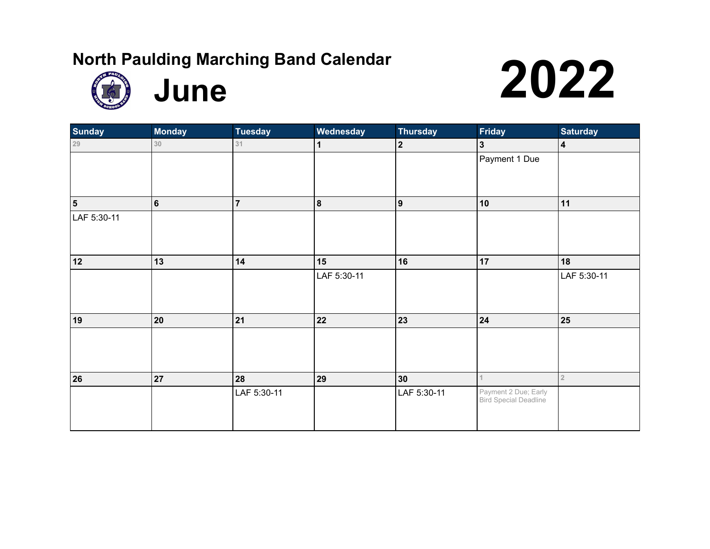

**June 1997** 

| <b>Sunday</b>           | <b>Monday</b> | <b>Tuesday</b> | <b>Wednesday</b> | <b>Thursday</b>  | <b>Friday</b>         | <b>Saturday</b>         |
|-------------------------|---------------|----------------|------------------|------------------|-----------------------|-------------------------|
| $29\,$                  | 30            | 31             | 1                | $\overline{2}$   | $\mathbf{3}$          | $\overline{\mathbf{4}}$ |
|                         |               |                |                  |                  | Payment 1 Due         |                         |
|                         |               |                |                  |                  |                       |                         |
|                         |               |                |                  |                  |                       |                         |
| $\overline{\mathbf{5}}$ | $\bf 6$       | $\overline{7}$ | $\pmb{8}$        | $\boldsymbol{9}$ | 10                    | 11                      |
| LAF 5:30-11             |               |                |                  |                  |                       |                         |
|                         |               |                |                  |                  |                       |                         |
|                         |               |                |                  |                  |                       |                         |
| 12                      | 13            | 14             | 15               | 16               | 17                    | 18                      |
|                         |               |                | LAF 5:30-11      |                  |                       | LAF 5:30-11             |
|                         |               |                |                  |                  |                       |                         |
|                         |               |                |                  |                  |                       |                         |
| 19                      | 20            | 21             | 22               | 23               | ${\bf 24}$            | 25                      |
|                         |               |                |                  |                  |                       |                         |
|                         |               |                |                  |                  |                       |                         |
|                         |               |                |                  |                  |                       |                         |
| 26                      | 27            | 28             | 29               | 30               |                       | $\sqrt{2}$              |
|                         |               | LAF 5:30-11    |                  | LAF 5:30-11      | Payment 2 Due; Early  |                         |
|                         |               |                |                  |                  | Bird Special Deadline |                         |
|                         |               |                |                  |                  |                       |                         |
|                         |               |                |                  |                  |                       |                         |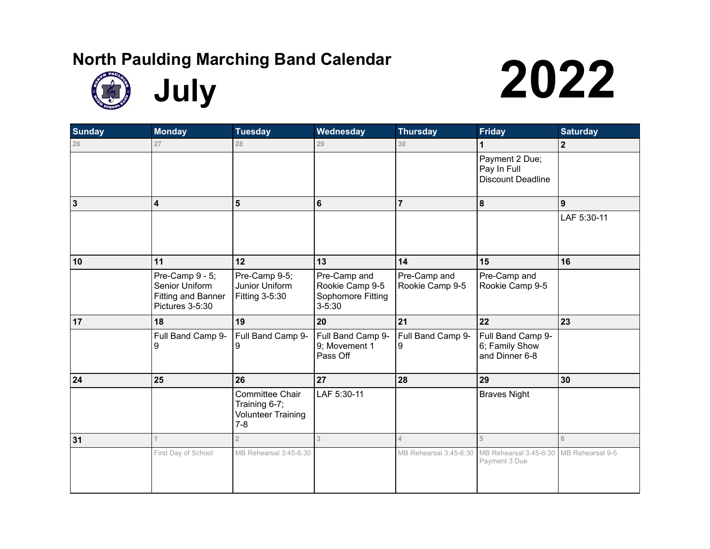





| <b>Sunday</b> | <b>Monday</b>                                                                     | <b>Tuesday</b>                                                                  | Wednesday                                                          | <b>Thursday</b>                 | <b>Friday</b>                                             | <b>Saturday</b> |
|---------------|-----------------------------------------------------------------------------------|---------------------------------------------------------------------------------|--------------------------------------------------------------------|---------------------------------|-----------------------------------------------------------|-----------------|
| 26            | 27                                                                                | 28                                                                              | 29                                                                 | 30                              |                                                           | $\mathbf{2}$    |
|               |                                                                                   |                                                                                 |                                                                    |                                 | Payment 2 Due;<br>Pay In Full<br><b>Discount Deadline</b> |                 |
| $\mathbf{3}$  | $\overline{\mathbf{4}}$                                                           | 5                                                                               | 6                                                                  | $\overline{7}$                  | 8                                                         | 9               |
|               |                                                                                   |                                                                                 |                                                                    |                                 |                                                           | LAF 5:30-11     |
| 10            | 11                                                                                | 12                                                                              | 13                                                                 | 14                              | 15                                                        | 16              |
|               | Pre-Camp 9 - 5;<br>Senior Uniform<br><b>Fitting and Banner</b><br>Pictures 3-5:30 | Pre-Camp 9-5;<br>Junior Uniform<br>Fitting 3-5:30                               | Pre-Camp and<br>Rookie Camp 9-5<br>Sophomore Fitting<br>$3 - 5:30$ | Pre-Camp and<br>Rookie Camp 9-5 | Pre-Camp and<br>Rookie Camp 9-5                           |                 |
| 17            | 18                                                                                | 19                                                                              | 20                                                                 | 21                              | 22                                                        | 23              |
|               | Full Band Camp 9-<br>9                                                            | Full Band Camp 9-<br>9                                                          | Full Band Camp 9-<br>9; Movement 1<br>Pass Off                     | Full Band Camp 9-<br>9          | Full Band Camp 9-<br>6; Family Show<br>and Dinner 6-8     |                 |
| 24            | 25                                                                                | 26                                                                              | 27                                                                 | 28                              | 29                                                        | 30              |
|               |                                                                                   | <b>Committee Chair</b><br>Training 6-7;<br><b>Volunteer Training</b><br>$7 - 8$ | LAF 5:30-11                                                        |                                 | <b>Braves Night</b>                                       |                 |
| 31            | 1                                                                                 | $\overline{2}$                                                                  | 3                                                                  | $\Delta$                        | 5                                                         | 6               |
|               | First Day of School                                                               | MB Rehearsal 3:45-6:30                                                          |                                                                    | MB Rehearsal 3:45-6:30          | MB Rehearsal 3:45-6:30 MB Rehearsal 9-5<br>Payment 3 Due  |                 |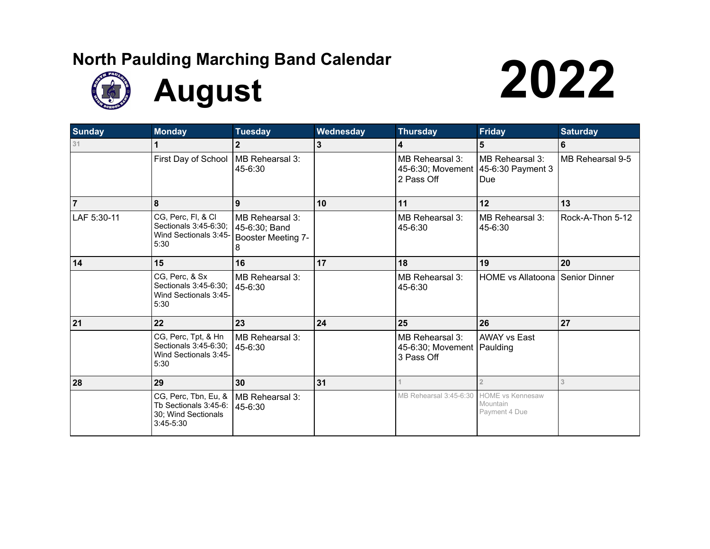

**August 2022** 

| <b>Sunday</b>  | <b>Monday</b>                                                                       | <b>Tuesday</b>                                              | Wednesday | <b>Thursday</b>                                               | <b>Friday</b>                                        | <b>Saturday</b>  |
|----------------|-------------------------------------------------------------------------------------|-------------------------------------------------------------|-----------|---------------------------------------------------------------|------------------------------------------------------|------------------|
| 31             | 1                                                                                   | $\mathbf{2}$                                                | 3         | 4                                                             | 5                                                    | 6                |
|                | First Day of School                                                                 | MB Rehearsal 3:<br>45-6:30                                  |           | MB Rehearsal 3:<br>45-6:30; Movement<br>2 Pass Off            | MB Rehearsal 3:<br>45-6:30 Payment 3<br>Due          | MB Rehearsal 9-5 |
| $\overline{7}$ | 8                                                                                   | 9                                                           | 10        | 11                                                            | 12                                                   | 13               |
| LAF 5:30-11    | CG, Perc, FI, & CI<br>Sectionals 3:45-6:30;<br>Wind Sectionals 3:45-<br>5:30        | MB Rehearsal 3:<br>45-6:30; Band<br>Booster Meeting 7-<br>8 |           | MB Rehearsal 3:<br>45-6:30                                    | MB Rehearsal 3:<br>45-6:30                           | Rock-A-Thon 5-12 |
| 14             | 15                                                                                  | 16                                                          | 17        | 18                                                            | 19                                                   | 20               |
|                | CG, Perc, & Sx<br>Sectionals 3:45-6:30;<br>Wind Sectionals 3:45-<br>5:30            | MB Rehearsal 3:<br>45-6:30                                  |           | MB Rehearsal 3:<br>45-6:30                                    | HOME vs Allatoona   Senior Dinner                    |                  |
| 21             | 22                                                                                  | 23                                                          | 24        | 25                                                            | 26                                                   | 27               |
|                | CG, Perc, Tpt, & Hn<br>Sectionals 3:45-6:30;<br>Wind Sectionals 3:45-<br>5:30       | MB Rehearsal 3:<br>45-6:30                                  |           | MB Rehearsal 3:<br>45-6:30; Movement   Paulding<br>3 Pass Off | <b>AWAY vs East</b>                                  |                  |
| 28             | 29                                                                                  | 30                                                          | 31        |                                                               | $\overline{2}$                                       | 3                |
|                | CG, Perc, Tbn, Eu, &<br>Tb Sectionals 3:45-6:<br>30; Wind Sectionals<br>$3:45-5:30$ | MB Rehearsal 3:<br>45-6:30                                  |           | MB Rehearsal 3:45-6:30                                        | <b>HOME vs Kennesaw</b><br>Mountain<br>Payment 4 Due |                  |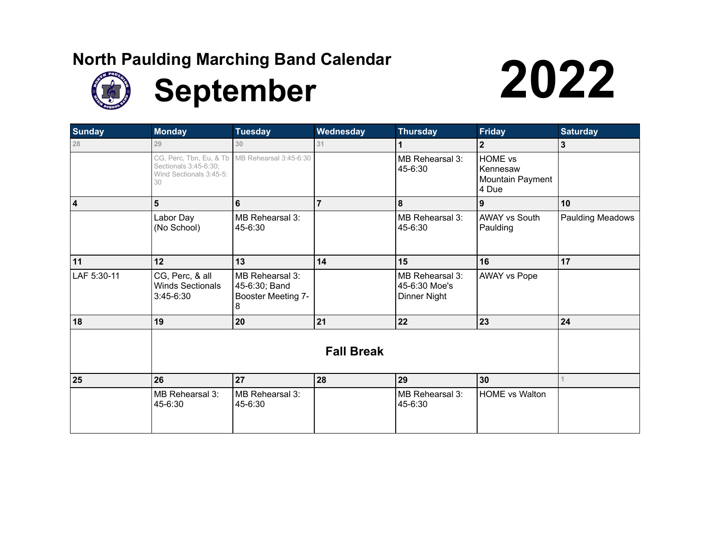

# **September** 2022

| <b>Sunday</b>  | <b>Monday</b>                                                                     | <b>Tuesday</b>                                              | Wednesday      | <b>Thursday</b>                                  | <b>Friday</b>                                    | <b>Saturday</b>         |  |
|----------------|-----------------------------------------------------------------------------------|-------------------------------------------------------------|----------------|--------------------------------------------------|--------------------------------------------------|-------------------------|--|
| 28             | 29                                                                                | 30                                                          | 31             | 1                                                | $\mathbf{2}$                                     | $\mathbf{3}$            |  |
|                | CG, Perc, Tbn, Eu, & Tb<br>Sectionals 3:45-6:30;<br>Wind Sectionals 3:45-5:<br>30 | MB Rehearsal 3:45-6:30                                      |                | MB Rehearsal 3:<br>45-6:30                       | HOME vs<br>Kennesaw<br>Mountain Payment<br>4 Due |                         |  |
| $\overline{4}$ | 5                                                                                 | $6\phantom{a}$                                              | $\overline{7}$ | 8                                                | 9                                                | 10 <sup>1</sup>         |  |
|                | Labor Day<br>(No School)                                                          | MB Rehearsal 3:<br>45-6:30                                  |                | MB Rehearsal 3:<br>45-6:30                       | <b>AWAY vs South</b><br>Paulding                 | <b>Paulding Meadows</b> |  |
| 11             | 12                                                                                | 13                                                          | 14             | 15                                               | 16                                               | 17                      |  |
| LAF 5:30-11    | CG, Perc, & all<br><b>Winds Sectionals</b><br>3:45-6:30                           | MB Rehearsal 3:<br>45-6:30; Band<br>Booster Meeting 7-<br>8 |                | MB Rehearsal 3:<br>45-6:30 Moe's<br>Dinner Night | <b>AWAY vs Pope</b>                              |                         |  |
| 18             | 19                                                                                | 20                                                          | 21             | 22                                               | 23                                               | 24                      |  |
|                | <b>Fall Break</b>                                                                 |                                                             |                |                                                  |                                                  |                         |  |
| 25             | 26                                                                                | 27                                                          | 28             | 29                                               | 30                                               |                         |  |
|                | MB Rehearsal 3:<br>45-6:30                                                        | MB Rehearsal 3:<br>45-6:30                                  |                | MB Rehearsal 3:<br>45-6:30                       | <b>HOME vs Walton</b>                            |                         |  |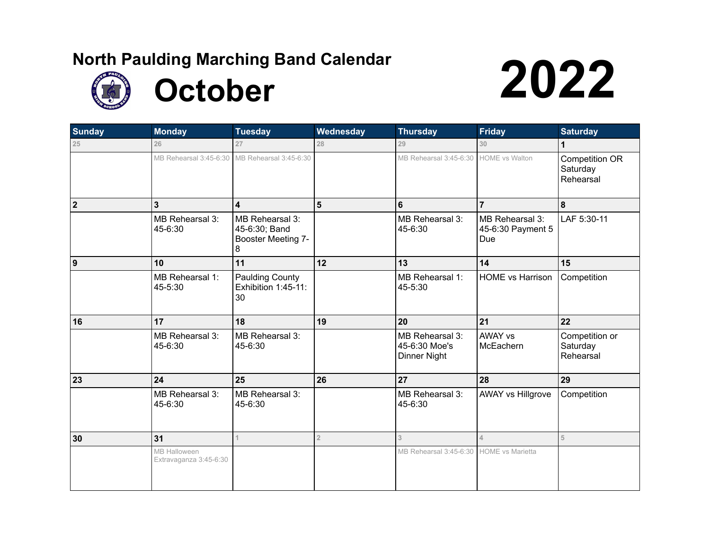

**October 2022** 

| <b>Sunday</b>           | <b>Monday</b>                                 | <b>Tuesday</b>                                              | Wednesday      | <b>Thursday</b>                                  | <b>Friday</b>                               | <b>Saturday</b>                         |
|-------------------------|-----------------------------------------------|-------------------------------------------------------------|----------------|--------------------------------------------------|---------------------------------------------|-----------------------------------------|
| 25                      | 26                                            | 27                                                          | 28             | 29                                               | 30                                          | 1                                       |
|                         |                                               | MB Rehearsal 3:45-6:30 MB Rehearsal 3:45-6:30               |                | MB Rehearsal 3:45-6:30                           | <b>HOME</b> vs Walton                       | Competition OR<br>Saturday<br>Rehearsal |
| $\overline{\mathbf{2}}$ | 3                                             | 4                                                           | $5\phantom{1}$ | $6\phantom{1}$                                   | $\overline{7}$                              | 8                                       |
|                         | MB Rehearsal 3:<br>45-6:30                    | MB Rehearsal 3:<br>45-6:30; Band<br>Booster Meeting 7-<br>8 |                | MB Rehearsal 3:<br>45-6:30                       | MB Rehearsal 3:<br>45-6:30 Payment 5<br>Due | LAF 5:30-11                             |
| 9                       | 10                                            | 11                                                          | 12             | 13                                               | 14                                          | 15                                      |
|                         | MB Rehearsal 1:<br>45-5:30                    | <b>Paulding County</b><br>Exhibition 1:45-11:<br>30         |                | MB Rehearsal 1:<br>45-5:30                       | <b>HOME vs Harrison</b>                     | Competition                             |
| 16                      | 17                                            | 18                                                          | 19             | 20                                               | 21                                          | 22                                      |
|                         | MB Rehearsal 3:<br>45-6:30                    | MB Rehearsal 3:<br>45-6:30                                  |                | MB Rehearsal 3:<br>45-6:30 Moe's<br>Dinner Night | <b>AWAY vs</b><br>McEachern                 | Competition or<br>Saturday<br>Rehearsal |
| 23                      | 24                                            | 25                                                          | 26             | 27                                               | 28                                          | 29                                      |
|                         | MB Rehearsal 3:<br>45-6:30                    | MB Rehearsal 3:<br>45-6:30                                  |                | MB Rehearsal 3:<br>45-6:30                       | <b>AWAY vs Hillgrove</b>                    | Competition                             |
| 30                      | 31                                            | 1                                                           | $\overline{2}$ | 3                                                | 4                                           | 5                                       |
|                         | <b>MB Halloween</b><br>Extravaganza 3:45-6:30 |                                                             |                | MB Rehearsal 3:45-6:30                           | <b>HOME</b> vs Marietta                     |                                         |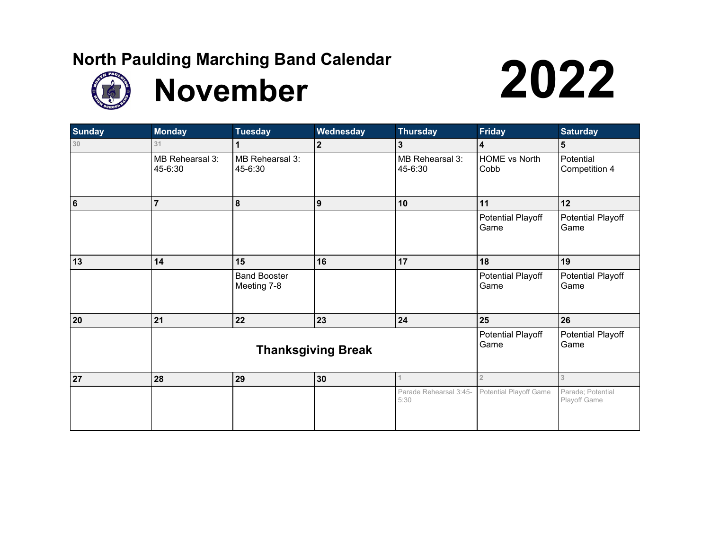



| <b>Sunday</b>   | <b>Monday</b>              | <b>Tuesday</b>                     | Wednesday                 | <b>Thursday</b>                | <b>Friday</b>                | <b>Saturday</b>                   |
|-----------------|----------------------------|------------------------------------|---------------------------|--------------------------------|------------------------------|-----------------------------------|
| 30              | 31                         |                                    | $\overline{2}$            | $\mathbf{3}$                   | $\overline{\mathbf{4}}$      | $5\phantom{1}$                    |
|                 | MB Rehearsal 3:<br>45-6:30 | MB Rehearsal 3:<br>45-6:30         |                           | MB Rehearsal 3:<br>45-6:30     | <b>HOME vs North</b><br>Cobb | Potential<br>Competition 4        |
| $6\phantom{1}6$ | $\overline{7}$             | 8                                  | 9                         | 10                             | 11                           | 12                                |
|                 |                            |                                    |                           |                                | Potential Playoff<br>Game    | Potential Playoff<br>Game         |
| 13              | 14                         | 15                                 | 16                        | 17                             | 18                           | 19                                |
|                 |                            | <b>Band Booster</b><br>Meeting 7-8 |                           |                                | Potential Playoff<br>Game    | Potential Playoff<br>Game         |
| 20              | 21                         | 22                                 | 23                        | 24                             | 25                           | 26                                |
|                 |                            | <b>Thanksgiving Break</b>          | Potential Playoff<br>Game | Potential Playoff<br>Game      |                              |                                   |
| 27              | 28                         | 29                                 | 30                        |                                | $\overline{2}$               | 3                                 |
|                 |                            |                                    |                           | Parade Rehearsal 3:45-<br>5:30 | Potential Playoff Game       | Parade; Potential<br>Playoff Game |